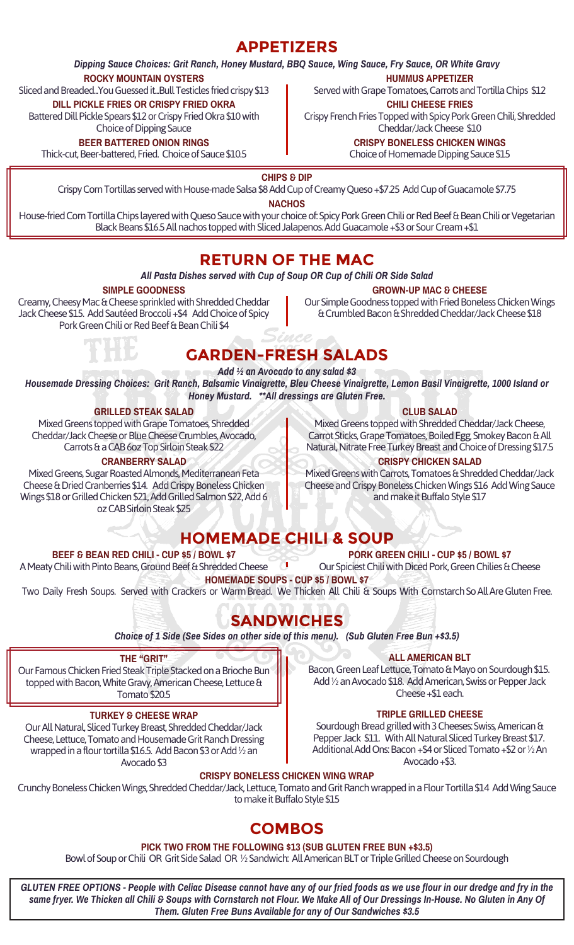### **APPETIZERS**

*Dipping Sauce Choices: Grit Ranch, Honey Mustard, BBQ Sauce, Wing Sauce, Fry Sauce, OR White Gravy*

#### **ROCKY MOUNTAIN OYSTERS**

Sliced and Breaded...You Guessed it...Bull Testicles fried crispy \$13

**DILL PICKLE FRIES OR CRISPY FRIED OKRA**

Battered Dill Pickle Spears \$12 or Crispy Fried Okra \$10 with Choice of Dipping Sauce

**BEER BATTERED ONION RINGS**

Thick-cut, Beer-battered, Fried. Choice of Sauce \$10.5

**HUMMUS APPETIZER** Served with Grape Tomatoes, Carrots and Tortilla Chips \$12 **CHILI CHEESE FRIES**

Crispy French Fries Topped with Spicy Pork Green Chili, Shredded Cheddar/Jack Cheese \$10

**CRISPY BONELESS CHICKEN WINGS**

Choice of Homemade Dipping Sauce \$15

**CHIPS & DIP**

Crispy Corn Tortillas served with House-made Salsa \$8 Add Cup of Creamy Queso +\$7.25 Add Cup of Guacamole \$7.75

**NACHOS**

House-fried Corn Tortilla Chips layered with Queso Sauce with your choice of: Spicy Pork Green Chili or Red Beef & Bean Chili or Vegetarian Black Beans \$16.5 All nachos topped with Sliced Jalapenos. Add Guacamole +\$3 or Sour Cream +\$1

## **RETURN OF THE MAC**

#### *All Pasta Dishes served with Cup of Soup OR Cup of Chili OR Side Salad*

#### **SIMPLE GOODNESS**

Creamy, Cheesy Mac & Cheese sprinkled with Shredded Cheddar Jack Cheese \$15. Add Sautéed Broccoli +\$4 Add Choice of Spicy Pork Green Chili or Red Beef & Bean Chili \$4

**GROWN-UP MAC & CHEESE** Our Simple Goodness topped with Fried Boneless Chicken Wings & Crumbled Bacon & Shredded Cheddar/Jack Cheese \$18

## **GARDEN-FRESH SALADS**

*Add ½ an Avocado to any salad \$3*

*Housemade Dressing Choices: Grit Ranch, Balsamic Vinaigrette, Bleu Cheese Vinaigrette, Lemon Basil Vinaigrette, 1000 Island or Honey Mustard. \*\*All dressings are Gluten Free.*

#### **GRILLED STEAK SALAD**

Mixed Greens topped with Grape Tomatoes, Shredded Cheddar/Jack Cheese or Blue Cheese Crumbles, Avocado, Carrots & a CAB 6oz Top Sirloin Steak \$22

#### **CRANBERRY SALAD**

Mixed Greens, Sugar Roasted Almonds, Mediterranean Feta Cheese & Dried Cranberries \$14. Add Crispy Boneless Chicken Wings \$18 or Grilled Chicken \$21, Add Grilled Salmon \$22, Add 6 oz CAB Sirloin Steak \$25

#### **CLUB SALAD**

Mixed Greens topped with Shredded Cheddar/Jack Cheese, Carrot Sticks, Grape Tomatoes, Boiled Egg, Smokey Bacon & All Natural, Nitrate Free Turkey Breast and Choice of Dressing \$17.5

#### **CRISPY CHICKEN SALAD**

Mixed Greens with Carrots, Tomatoes & Shredded Cheddar/Jack Cheese and Crispy Boneless Chicken Wings \$16 Add Wing Sauce and make it Buffalo Style \$17

## **HOMEMADE CHILI & SOUP**

#### **BEEF & BEAN RED CHILI - CUP \$5 / BOWL \$7**

**PORK GREEN CHILI - CUP \$5 / BOWL \$7**

A Meaty Chili with Pinto Beans, Ground Beef & Shredded Cheese Our Spiciest Chili with Diced Pork, Green Chilies & Cheese **HOMEMADE SOUPS - CUP \$5 / BOWL \$7**

Two Daily Fresh Soups. Served with Crackers or Warm Bread. We Thicken All Chili & Soups With Cornstarch So All Are Gluten Free.

## **SANDWICHES**

*Choice of 1 Side (See Sides on other side of this menu). (Sub Gluten Free Bun +\$3.5)*

#### **THE "GRIT"**

Our Famous Chicken Fried Steak Triple Stacked on a Brioche Bun topped with Bacon, White Gravy, American Cheese, Lettuce & Tomato \$20.5

#### **TURKEY & CHEESE WRAP**

Our All Natural, Sliced Turkey Breast, Shredded Cheddar/Jack Cheese, Lettuce, Tomato and Housemade Grit Ranch Dressing wrapped in a flour tortilla \$16.5. Add Bacon \$3 or Add ½ an Avocado \$3

**ALL AMERICAN BLT**

Bacon, Green Leaf Lettuce, Tomato & Mayo on Sourdough \$15. Add ½ an Avocado \$18. Add American, Swiss or Pepper Jack Cheese +\$1 each.

#### **TRIPLE GRILLED CHEESE**

Sourdough Bread grilled with 3 Cheeses: Swiss, American & Pepper Jack \$11. With All Natural Sliced Turkey Breast \$17. Additional Add Ons: Bacon +\$4 or Sliced Tomato +\$2 or ½ An Avocado +\$3.

### **CRISPY BONELESS CHICKEN WING WRAP**

Crunchy Boneless Chicken Wings, Shredded Cheddar/Jack, Lettuce, Tomato and Grit Ranch wrapped in a Flour Tortilla \$14 Add Wing Sauce to make it Buffalo Style \$15

## **COMBOS**

#### **PICK TWO FROM THE FOLLOWING \$13 (SUB GLUTEN FREE BUN +\$3.5)**

Bowl of Soup or Chili OR Grit Side Salad OR ½ Sandwich: All American BLT or Triple Grilled Cheese on Sourdough

*GLUTEN FREE OPTIONS - People with Celiac Disease cannot have any of our fried foods as we use flour in our dredge and fry in the same fryer. We Thicken all Chili & Soups with Cornstarch not Flour. We Make All of Our Dressings In-House. No Gluten in Any Of Them. Gluten Free Buns Available for any of Our Sandwiches \$3.5*